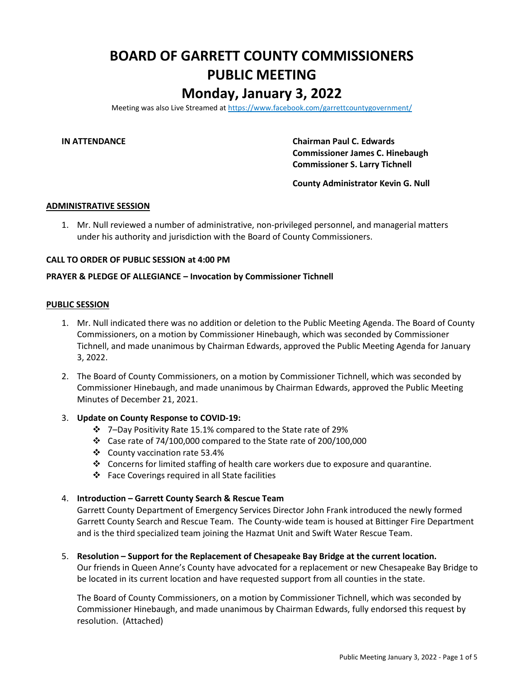## **BOARD OF GARRETT COUNTY COMMISSIONERS PUBLIC MEETING Monday, January 3, 2022**

Meeting was also Live Streamed a[t https://www.facebook.com/garrettcountygovernment/](https://www.facebook.com/garrettcountygovernment/)

**IN ATTENDANCE Chairman Paul C. Edwards Commissioner James C. Hinebaugh Commissioner S. Larry Tichnell**

**County Administrator Kevin G. Null**

#### **ADMINISTRATIVE SESSION**

1. Mr. Null reviewed a number of administrative, non-privileged personnel, and managerial matters under his authority and jurisdiction with the Board of County Commissioners.

#### **CALL TO ORDER OF PUBLIC SESSION at 4:00 PM**

### **PRAYER & PLEDGE OF ALLEGIANCE – Invocation by Commissioner Tichnell**

#### **PUBLIC SESSION**

- 1. Mr. Null indicated there was no addition or deletion to the Public Meeting Agenda. The Board of County Commissioners, on a motion by Commissioner Hinebaugh, which was seconded by Commissioner Tichnell, and made unanimous by Chairman Edwards, approved the Public Meeting Agenda for January 3, 2022.
- 2. The Board of County Commissioners, on a motion by Commissioner Tichnell, which was seconded by Commissioner Hinebaugh, and made unanimous by Chairman Edwards, approved the Public Meeting Minutes of December 21, 2021.

#### 3. **Update on County Response to COVID-19:**

- ❖ 7–Day Positivity Rate 15.1% compared to the State rate of 29%
- ❖ Case rate of 74/100,000 compared to the State rate of 200/100,000
- ❖ County vaccination rate 53.4%
- ❖ Concerns for limited staffing of health care workers due to exposure and quarantine.
- ❖ Face Coverings required in all State facilities

#### 4. **Introduction – Garrett County Search & Rescue Team**

Garrett County Department of Emergency Services Director John Frank introduced the newly formed Garrett County Search and Rescue Team. The County-wide team is housed at Bittinger Fire Department and is the third specialized team joining the Hazmat Unit and Swift Water Rescue Team.

5. **Resolution – Support for the Replacement of Chesapeake Bay Bridge at the current location.** Our friends in Queen Anne's County have advocated for a replacement or new Chesapeake Bay Bridge to be located in its current location and have requested support from all counties in the state.

The Board of County Commissioners, on a motion by Commissioner Tichnell, which was seconded by Commissioner Hinebaugh, and made unanimous by Chairman Edwards, fully endorsed this request by resolution. (Attached)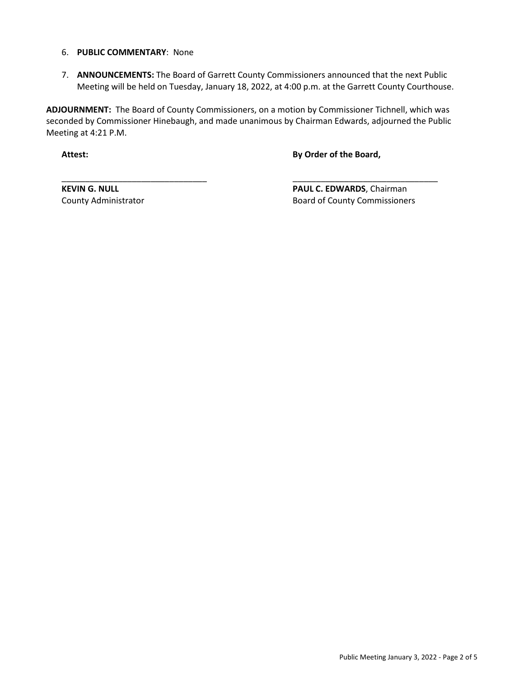#### 6. **PUBLIC COMMENTARY**: None

7. **ANNOUNCEMENTS:** The Board of Garrett County Commissioners announced that the next Public Meeting will be held on Tuesday, January 18, 2022, at 4:00 p.m. at the Garrett County Courthouse.

**ADJOURNMENT:** The Board of County Commissioners, on a motion by Commissioner Tichnell, which was seconded by Commissioner Hinebaugh, and made unanimous by Chairman Edwards, adjourned the Public Meeting at 4:21 P.M.

\_\_\_\_\_\_\_\_\_\_\_\_\_\_\_\_\_\_\_\_\_\_\_\_\_\_\_\_\_\_\_ \_\_\_\_\_\_\_\_\_\_\_\_\_\_\_\_\_\_\_\_\_\_\_\_\_\_\_\_\_\_\_

**Attest: By Order of the Board,**

**KEVIN G. NULL PAUL C. EDWARDS**, Chairman County Administrator **Board of County Commissioners** Board of County Commissioners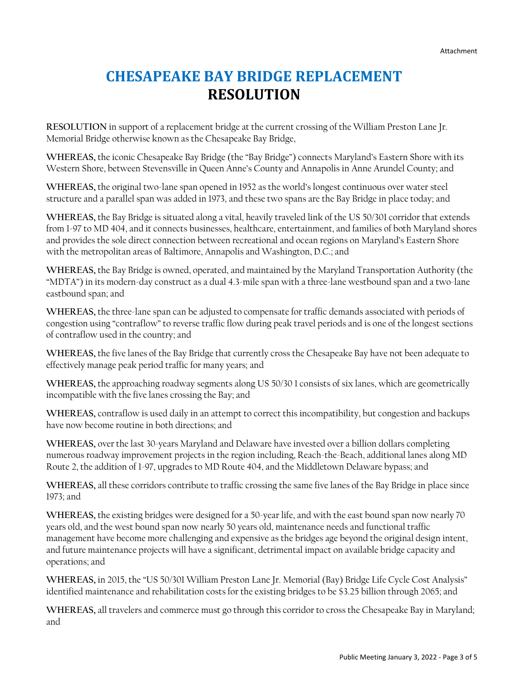# **CHESAPEAKE BAY BRIDGE REPLACEMENT RESOLUTION**

**RESOLUTION** in support of a replacement bridge at the current crossing of the William Preston Lane Jr. Memorial Bridge otherwise known as the Chesapeake Bay Bridge,

**WHEREAS,** the iconic Chesapeake Bay Bridge (the "Bay Bridge") connects Maryland's Eastern Shore with its Western Shore, between Stevensville in Queen Anne's County and Annapolis in Anne Arundel County; and

**WHEREAS,** the original two-lane span opened in 1952 as the world's longest continuous over water steel structure and a parallel span was added in 1973, and these two spans are the Bay Bridge in place today; and

**WHEREAS,** the Bay Bridge is situated along a vital, heavily traveled link of the US 50/301 corridor that extends from 1-97 to MD 404, and it connects businesses, healthcare, entertainment, and families of both Maryland shores and provides the sole direct connection between recreational and ocean regions on Maryland's Eastern Shore with the metropolitan areas of Baltimore, Annapolis and Washington, D.C.; and

**WHEREAS,** the Bay Bridge is owned, operated, and maintained by the Maryland Transportation Authority (the "MDTA") in its modern-day construct as a dual 4.3-mile span with a three-lane westbound span and a two-lane eastbound span; and

**WHEREAS,** the three-lane span can be adjusted to compensate for traffic demands associated with periods of congestion using "contraflow" to reverse traffic flow during peak travel periods and is one of the longest sections of contraflow used in the country; and

**WHEREAS,** the five lanes of the Bay Bridge that currently cross the Chesapeake Bay have not been adequate to effectively manage peak period traffic for many years; and

**WHEREAS,** the approaching roadway segments along US 50/30 1 consists of six lanes, which are geometrically incompatible with the five lanes crossing the Bay; and

**WHEREAS,** contraflow is used daily in an attempt to correct this incompatibility, but congestion and backups have now become routine in both directions; and

**WHEREAS,** over the last 30-years Maryland and Delaware have invested over a billion dollars completing numerous roadway improvement projects in the region including, Reach-the-Beach, additional lanes along MD Route 2, the addition of 1-97, upgrades to MD Route 404, and the Middletown Delaware bypass; and

**WHEREAS,** all these corridors contribute to traffic crossing the same five lanes of the Bay Bridge in place since 1973; and

**WHEREAS,** the existing bridges were designed for a 50-year life, and with the east bound span now nearly 70 years old, and the west bound span now nearly 50 years old, maintenance needs and functional traffic management have become more challenging and expensive as the bridges age beyond the original design intent, and future maintenance projects will have a significant, detrimental impact on available bridge capacity and operations; and

**WHEREAS,** in 2015, the "US 50/301 William Preston Lane Jr. Memorial (Bay) Bridge Life Cycle Cost Analysis" identified maintenance and rehabilitation costs for the existing bridges to be \$3.25 billion through 2065; and

**WHEREAS,** all travelers and commerce must go through this corridor to cross the Chesapeake Bay in Maryland; and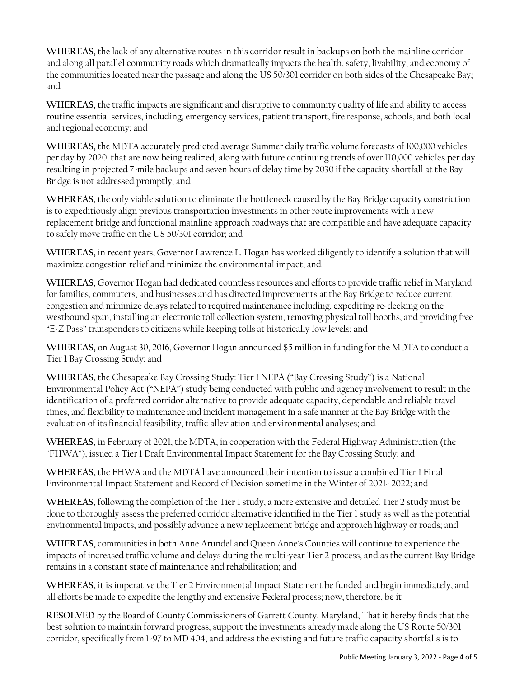**WHEREAS,** the lack of any alternative routes in this corridor result in backups on both the mainline corridor and along all parallel community roads which dramatically impacts the health, safety, livability, and economy of the communities located near the passage and along the US 50/301 corridor on both sides of the Chesapeake Bay; and

**WHEREAS,** the traffic impacts are significant and disruptive to community quality of life and ability to access routine essential services, including, emergency services, patient transport, fire response, schools, and both local and regional economy; and

**WHEREAS,** the MDTA accurately predicted average Summer daily traffic volume forecasts of 100,000 vehicles per day by 2020, that are now being realized, along with future continuing trends of over 110,000 vehicles per day resulting in projected 7-mile backups and seven hours of delay time by 2030 if the capacity shortfall at the Bay Bridge is not addressed promptly; and

**WHEREAS,** the only viable solution to eliminate the bottleneck caused by the Bay Bridge capacity constriction is to expeditiously align previous transportation investments in other route improvements with a new replacement bridge and functional mainline approach roadways that are compatible and have adequate capacity to safely move traffic on the US 50/301 corridor; and

**WHEREAS,** in recent years, Governor Lawrence L. Hogan has worked diligently to identify a solution that will maximize congestion relief and minimize the environmental impact; and

**WHEREAS,** Governor Hogan had dedicated countless resources and efforts to provide traffic relief in Maryland for families, commuters, and businesses and has directed improvements at the Bay Bridge to reduce current congestion and minimize delays related to required maintenance including, expediting re-decking on the westbound span, installing an electronic toll collection system, removing physical toll booths, and providing free "E-Z Pass" transponders to citizens while keeping tolls at historically low levels; and

**WHEREAS,** on August 30, 2016, Governor Hogan announced \$5 million in funding for the MDTA to conduct a Tier 1 Bay Crossing Study: and

**WHEREAS,** the Chesapeake Bay Crossing Study: Tier 1 NEPA ("Bay Crossing Study") is a National Environmental Policy Act ("NEPA") study being conducted with public and agency involvement to result in the identification of a preferred corridor alternative to provide adequate capacity, dependable and reliable travel times, and flexibility to maintenance and incident management in a safe manner at the Bay Bridge with the evaluation of its financial feasibility, traffic alleviation and environmental analyses; and

**WHEREAS,** in February of 2021, the MDTA, in cooperation with the Federal Highway Administration (the "FHWA"), issued a Tier 1 Draft Environmental Impact Statement for the Bay Crossing Study; and

**WHEREAS,** the FHWA and the MDTA have announced their intention to issue a combined Tier 1 Final Environmental Impact Statement and Record of Decision sometime in the Winter of 2021- 2022; and

**WHEREAS,** following the completion of the Tier 1 study, a more extensive and detailed Tier 2 study must be done to thoroughly assess the preferred corridor alternative identified in the Tier 1 study as well as the potential environmental impacts, and possibly advance a new replacement bridge and approach highway or roads; and

**WHEREAS,** communities in both Anne Arundel and Queen Anne's Counties will continue to experience the impacts of increased traffic volume and delays during the multi-year Tier 2 process, and as the current Bay Bridge remains in a constant state of maintenance and rehabilitation; and

**WHEREAS,** it is imperative the Tier 2 Environmental Impact Statement be funded and begin immediately, and all efforts be made to expedite the lengthy and extensive Federal process; now, therefore, be it

**RESOLVED** by the Board of County Commissioners of Garrett County, Maryland, That it hereby finds that the best solution to maintain forward progress, support the investments already made along the US Route 50/301 corridor, specifically from 1-97 to MD 404, and address the existing and future traffic capacity shortfalls is to